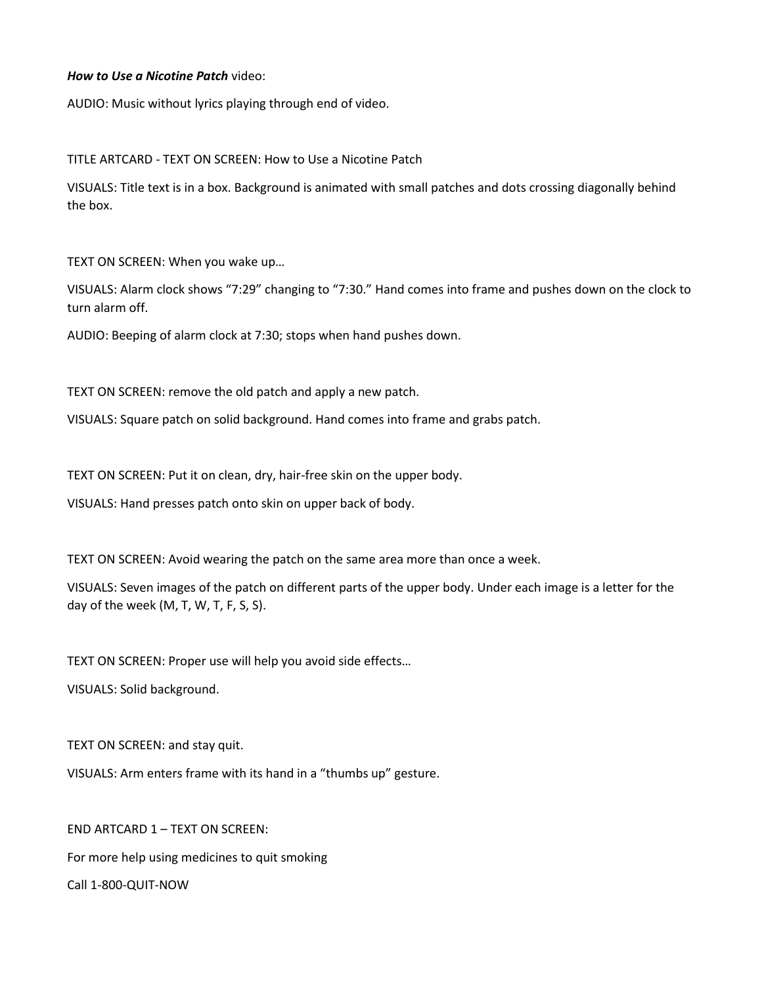## *How to Use a Nicotine Patch* video:

AUDIO: Music without lyrics playing through end of video.

TITLE ARTCARD - TEXT ON SCREEN: How to Use a Nicotine Patch

VISUALS: Title text is in a box. Background is animated with small patches and dots crossing diagonally behind the box.

TEXT ON SCREEN: When you wake up…

VISUALS: Alarm clock shows "7:29" changing to "7:30." Hand comes into frame and pushes down on the clock to turn alarm off.

AUDIO: Beeping of alarm clock at 7:30; stops when hand pushes down.

TEXT ON SCREEN: remove the old patch and apply a new patch.

VISUALS: Square patch on solid background. Hand comes into frame and grabs patch.

TEXT ON SCREEN: Put it on clean, dry, hair-free skin on the upper body.

VISUALS: Hand presses patch onto skin on upper back of body.

TEXT ON SCREEN: Avoid wearing the patch on the same area more than once a week.

VISUALS: Seven images of the patch on different parts of the upper body. Under each image is a letter for the day of the week (M, T, W, T, F, S, S).

TEXT ON SCREEN: Proper use will help you avoid side effects…

VISUALS: Solid background.

TEXT ON SCREEN: and stay quit.

VISUALS: Arm enters frame with its hand in a "thumbs up" gesture.

END ARTCARD 1 – TEXT ON SCREEN: For more help using medicines to quit smoking Call 1-800-QUIT-NOW